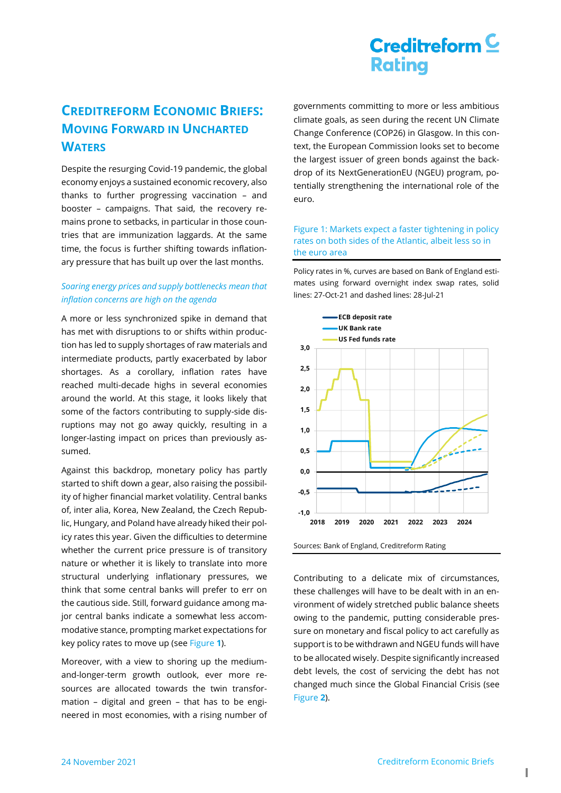### **CREDITREFORM ECONOMIC BRIEFS: MOVING FORWARD IN UNCHARTED WATERS**

Despite the resurging Covid-19 pandemic, the global economy enjoys a sustained economic recovery, also thanks to further progressing vaccination – and booster – campaigns. That said, the recovery remains prone to setbacks, in particular in those countries that are immunization laggards. At the same time, the focus is further shifting towards inflationary pressure that has built up over the last months.

### *Soaring energy prices and supply bottlenecks mean that inflation concerns are high on the agenda*

A more or less synchronized spike in demand that has met with disruptions to or shifts within production has led to supply shortages of raw materials and intermediate products, partly exacerbated by labor shortages. As a corollary, inflation rates have reached multi-decade highs in several economies around the world. At this stage, it looks likely that some of the factors contributing to supply-side disruptions may not go away quickly, resulting in a longer-lasting impact on prices than previously assumed.

Against this backdrop, monetary policy has partly started to shift down a gear, also raising the possibility of higher financial market volatility. Central banks of, inter alia, Korea, New Zealand, the Czech Republic, Hungary, and Poland have already hiked their policy rates this year. Given the difficulties to determine whether the current price pressure is of transitory nature or whether it is likely to translate into more structural underlying inflationary pressures, we think that some central banks will prefer to err on the cautious side. Still, forward guidance among major central banks indicate a somewhat less accommodative stance, prompting market expectations for key policy rates to move up (see [Figure](#page-0-0) **1**).

Moreover, with a view to shoring up the mediumand-longer-term growth outlook, ever more resources are allocated towards the twin transformation – digital and green – that has to be engineered in most economies, with a rising number of governments committing to more or less ambitious climate goals, as seen during the recent UN Climate Change Conference (COP26) in Glasgow. In this context, the European Commission looks set to become the largest issuer of green bonds against the backdrop of its NextGenerationEU (NGEU) program, potentially strengthening the international role of the euro.

#### <span id="page-0-0"></span>Figure 1: Markets expect a faster tightening in policy rates on both sides of the Atlantic, albeit less so in the euro area

Policy rates in %, curves are based on Bank of England estimates using forward overnight index swap rates, solid lines: 27-Oct-21 and dashed lines: 28-Jul-21



Contributing to a delicate mix of circumstances, these challenges will have to be dealt with in an environment of widely stretched public balance sheets owing to the pandemic, putting considerable pressure on monetary and fiscal policy to act carefully as support is to be withdrawn and NGEU funds will have to be allocated wisely. Despite significantly increased debt levels, the cost of servicing the debt has not changed much since the Global Financial Crisis (see [Figure](#page-1-0) **2**).

**1**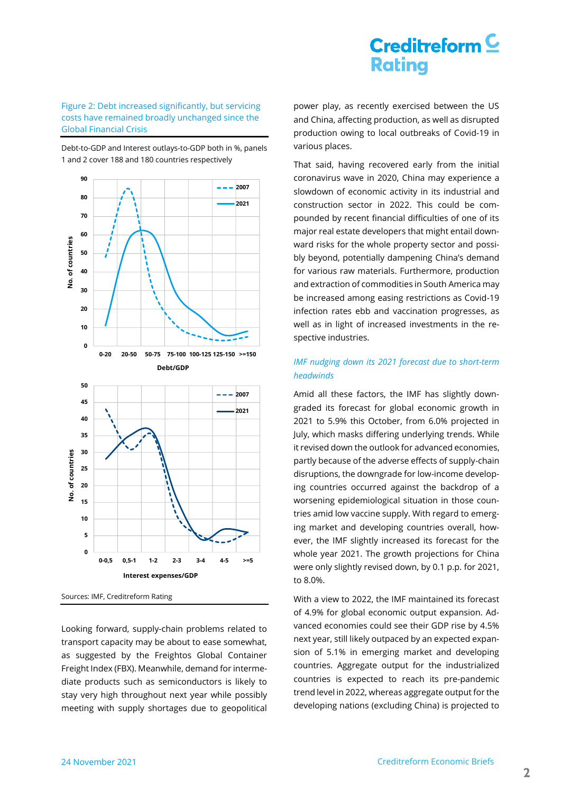#### <span id="page-1-0"></span>Figure 2: Debt increased significantly, but servicing costs have remained broadly unchanged since the Global Financial Crisis

Debt-to-GDP and Interest outlays-to-GDP both in %, panels 1 and 2 cover 188 and 180 countries respectively



Sources: IMF, Creditreform Rating

Looking forward, supply-chain problems related to transport capacity may be about to ease somewhat, as suggested by the Freightos Global Container Freight Index (FBX). Meanwhile, demand for intermediate products such as semiconductors is likely to stay very high throughout next year while possibly meeting with supply shortages due to geopolitical

power play, as recently exercised between the US and China, affecting production, as well as disrupted production owing to local outbreaks of Covid-19 in various places.

That said, having recovered early from the initial coronavirus wave in 2020, China may experience a slowdown of economic activity in its industrial and construction sector in 2022. This could be compounded by recent financial difficulties of one of its major real estate developers that might entail downward risks for the whole property sector and possibly beyond, potentially dampening China's demand for various raw materials. Furthermore, production and extraction of commodities in South America may be increased among easing restrictions as Covid-19 infection rates ebb and vaccination progresses, as well as in light of increased investments in the respective industries.

### *IMF nudging down its 2021 forecast due to short-term headwinds*

Amid all these factors, the IMF has slightly downgraded its forecast for global economic growth in 2021 to 5.9% this October, from 6.0% projected in July, which masks differing underlying trends. While it revised down the outlook for advanced economies, partly because of the adverse effects of supply-chain disruptions, the downgrade for low-income developing countries occurred against the backdrop of a worsening epidemiological situation in those countries amid low vaccine supply. With regard to emerging market and developing countries overall, however, the IMF slightly increased its forecast for the whole year 2021. The growth projections for China were only slightly revised down, by 0.1 p.p. for 2021, to 8.0%.

With a view to 2022, the IMF maintained its forecast of 4.9% for global economic output expansion. Advanced economies could see their GDP rise by 4.5% next year, still likely outpaced by an expected expansion of 5.1% in emerging market and developing countries. Aggregate output for the industrialized countries is expected to reach its pre-pandemic trend level in 2022, whereas aggregate output for the developing nations (excluding China) is projected to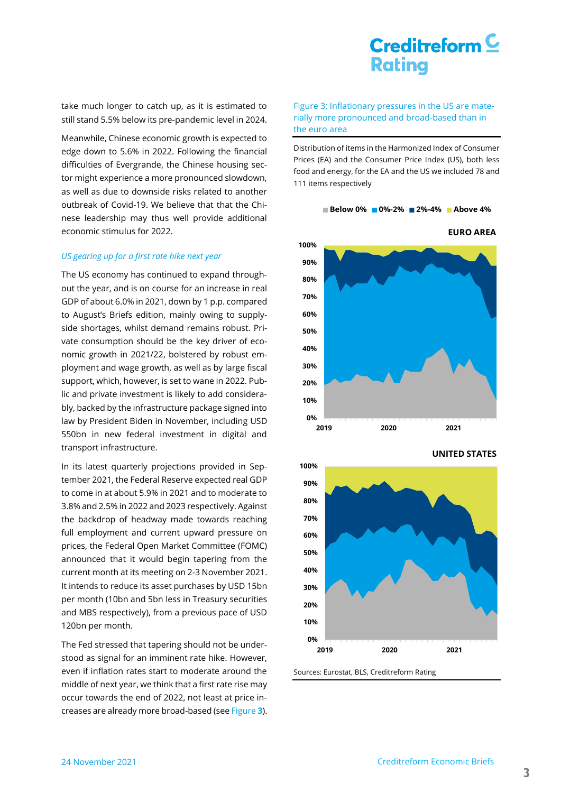take much longer to catch up, as it is estimated to still stand 5.5% below its pre-pandemic level in 2024.

Meanwhile, Chinese economic growth is expected to edge down to 5.6% in 2022. Following the financial difficulties of Evergrande, the Chinese housing sector might experience a more pronounced slowdown, as well as due to downside risks related to another outbreak of Covid-19. We believe that that the Chinese leadership may thus well provide additional economic stimulus for 2022.

#### *US gearing up for a first rate hike next year*

The US economy has continued to expand throughout the year, and is on course for an increase in real GDP of about 6.0% in 2021, down by 1 p.p. compared to August's Briefs edition, mainly owing to supplyside shortages, whilst demand remains robust. Private consumption should be the key driver of economic growth in 2021/22, bolstered by robust employment and wage growth, as well as by large fiscal support, which, however, is set to wane in 2022. Public and private investment is likely to add considerably, backed by the infrastructure package signed into law by President Biden in November, including USD 550bn in new federal investment in digital and transport infrastructure.

In its latest quarterly projections provided in September 2021, the Federal Reserve expected real GDP to come in at about 5.9% in 2021 and to moderate to 3.8% and 2.5% in 2022 and 2023 respectively. Against the backdrop of headway made towards reaching full employment and current upward pressure on prices, the Federal Open Market Committee (FOMC) announced that it would begin tapering from the current month at its meeting on 2-3 November 2021. It intends to reduce its asset purchases by USD 15bn per month (10bn and 5bn less in Treasury securities and MBS respectively), from a previous pace of USD 120bn per month.

The Fed stressed that tapering should not be understood as signal for an imminent rate hike. However, even if inflation rates start to moderate around the middle of next year, we think that a first rate rise may occur towards the end of 2022, not least at price increases are already more broad-based (see [Figure](#page-2-0) **3**).

<span id="page-2-0"></span>Figure 3: Inflationary pressures in the US are materially more pronounced and broad-based than in the euro area

Distribution of items in the Harmonized Index of Consumer Prices (EA) and the Consumer Price Index (US), both less food and energy, for the EA and the US we included 78 and 111 items respectively

**Below 0% 0%-2% 2%-4% Above 4%**



**UNITED STATES**



Sources: Eurostat, BLS, Creditreform Rating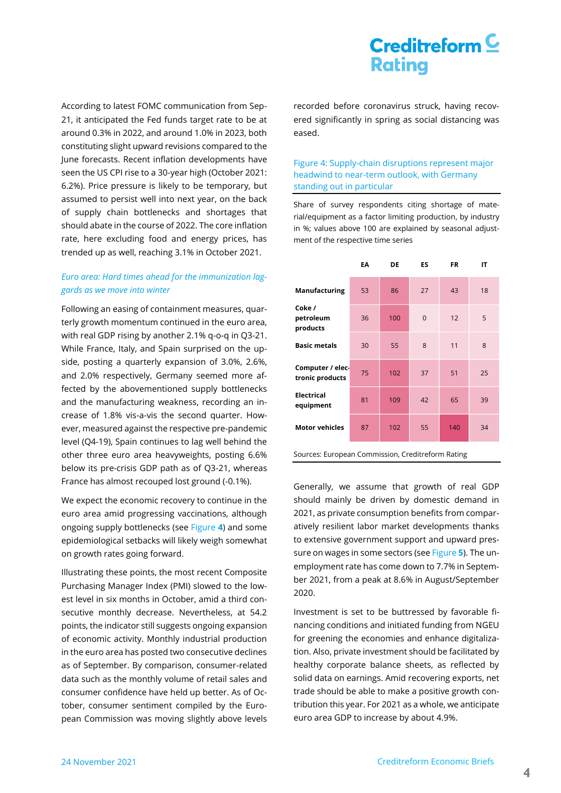According to latest FOMC communication from Sep-21, it anticipated the Fed funds target rate to be at around 0.3% in 2022, and around 1.0% in 2023, both constituting slight upward revisions compared to the June forecasts. Recent inflation developments have seen the US CPI rise to a 30-year high (October 2021: 6.2%). Price pressure is likely to be temporary, but assumed to persist well into next year, on the back of supply chain bottlenecks and shortages that should abate in the course of 2022. The core inflation rate, here excluding food and energy prices, has trended up as well, reaching 3.1% in October 2021.

### *Euro area: Hard times ahead for the immunization laggards as we move into winter*

Following an easing of containment measures, quarterly growth momentum continued in the euro area, with real GDP rising by another 2.1% q-o-q in Q3-21. While France, Italy, and Spain surprised on the upside, posting a quarterly expansion of 3.0%, 2.6%, and 2.0% respectively, Germany seemed more affected by the abovementioned supply bottlenecks and the manufacturing weakness, recording an increase of 1.8% vis-a-vis the second quarter. However, measured against the respective pre-pandemic level (Q4-19), Spain continues to lag well behind the other three euro area heavyweights, posting 6.6% below its pre-crisis GDP path as of Q3-21, whereas France has almost recouped lost ground (-0.1%).

We expect the economic recovery to continue in the euro area amid progressing vaccinations, although ongoing supply bottlenecks (see [Figure](#page-3-0) **4**) and some epidemiological setbacks will likely weigh somewhat on growth rates going forward.

Illustrating these points, the most recent Composite Purchasing Manager Index (PMI) slowed to the lowest level in six months in October, amid a third consecutive monthly decrease. Nevertheless, at 54.2 points, the indicator still suggests ongoing expansion of economic activity. Monthly industrial production in the euro area has posted two consecutive declines as of September. By comparison, consumer-related data such as the monthly volume of retail sales and consumer confidence have held up better. As of October, consumer sentiment compiled by the European Commission was moving slightly above levels recorded before coronavirus struck, having recovered significantly in spring as social distancing was eased.

#### <span id="page-3-0"></span>Figure 4: Supply-chain disruptions represent major headwind to near-term outlook, with Germany standing out in particular

Share of survey respondents citing shortage of material/equipment as a factor limiting production, by industry in %; values above 100 are explained by seasonal adjustment of the respective time series

|                                     | EA | DE  | ES          | <b>FR</b> | IT |
|-------------------------------------|----|-----|-------------|-----------|----|
| Manufacturing                       | 53 | 86  | 27          | 43        | 18 |
| Coke /<br>petroleum<br>products     | 36 | 100 | $\mathbf 0$ | 12        | 5  |
| <b>Basic metals</b>                 | 30 | 55  | 8           | 11        | 8  |
| Computer / elec-<br>tronic products | 75 | 102 | 37          | 51        | 25 |
| <b>Electrical</b><br>equipment      | 81 | 109 | 42          | 65        | 39 |
| <b>Motor vehicles</b>               | 87 | 102 | 55          | 140       | 34 |

Sources: European Commission, Creditreform Rating

Generally, we assume that growth of real GDP should mainly be driven by domestic demand in 2021, as private consumption benefits from comparatively resilient labor market developments thanks to extensive government support and upward pressure on wages in some sectors (see [Figure](#page-4-0) **5**). The unemployment rate has come down to 7.7% in September 2021, from a peak at 8.6% in August/September 2020.

Investment is set to be buttressed by favorable financing conditions and initiated funding from NGEU for greening the economies and enhance digitalization. Also, private investment should be facilitated by healthy corporate balance sheets, as reflected by solid data on earnings. Amid recovering exports, net trade should be able to make a positive growth contribution this year. For 2021 as a whole, we anticipate euro area GDP to increase by about 4.9%.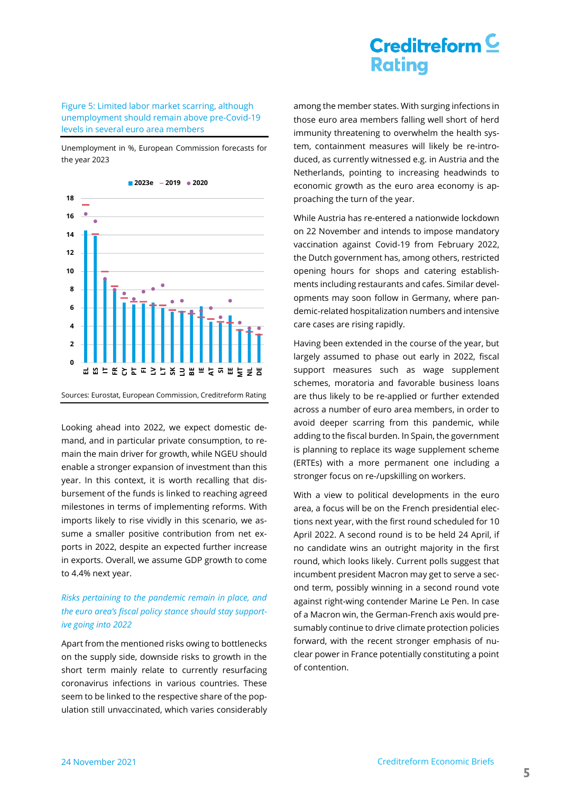#### <span id="page-4-0"></span>Figure 5: Limited labor market scarring, although unemployment should remain above pre-Covid-19 levels in several euro area members

Unemployment in %, European Commission forecasts for the year 2023



Sources: Eurostat, European Commission, Creditreform Rating

Looking ahead into 2022, we expect domestic demand, and in particular private consumption, to remain the main driver for growth, while NGEU should enable a stronger expansion of investment than this year. In this context, it is worth recalling that disbursement of the funds is linked to reaching agreed milestones in terms of implementing reforms. With imports likely to rise vividly in this scenario, we assume a smaller positive contribution from net exports in 2022, despite an expected further increase in exports. Overall, we assume GDP growth to come to 4.4% next year.

### *Risks pertaining to the pandemic remain in place, and the euro area's fiscal policy stance should stay supportive going into 2022*

Apart from the mentioned risks owing to bottlenecks on the supply side, downside risks to growth in the short term mainly relate to currently resurfacing coronavirus infections in various countries. These seem to be linked to the respective share of the population still unvaccinated, which varies considerably among the member states. With surging infections in those euro area members falling well short of herd immunity threatening to overwhelm the health system, containment measures will likely be re-introduced, as currently witnessed e.g. in Austria and the Netherlands, pointing to increasing headwinds to economic growth as the euro area economy is approaching the turn of the year.

While Austria has re-entered a nationwide lockdown on 22 November and intends to impose mandatory vaccination against Covid-19 from February 2022, the Dutch government has, among others, restricted opening hours for shops and catering establishments including restaurants and cafes. Similar developments may soon follow in Germany, where pandemic-related hospitalization numbers and intensive care cases are rising rapidly.

Having been extended in the course of the year, but largely assumed to phase out early in 2022, fiscal support measures such as wage supplement schemes, moratoria and favorable business loans are thus likely to be re-applied or further extended across a number of euro area members, in order to avoid deeper scarring from this pandemic, while adding to the fiscal burden. In Spain, the government is planning to replace its wage supplement scheme (ERTEs) with a more permanent one including a stronger focus on re-/upskilling on workers.

With a view to political developments in the euro area, a focus will be on the French presidential elections next year, with the first round scheduled for 10 April 2022. A second round is to be held 24 April, if no candidate wins an outright majority in the first round, which looks likely. Current polls suggest that incumbent president Macron may get to serve a second term, possibly winning in a second round vote against right-wing contender Marine Le Pen. In case of a Macron win, the German-French axis would presumably continue to drive climate protection policies forward, with the recent stronger emphasis of nuclear power in France potentially constituting a point of contention.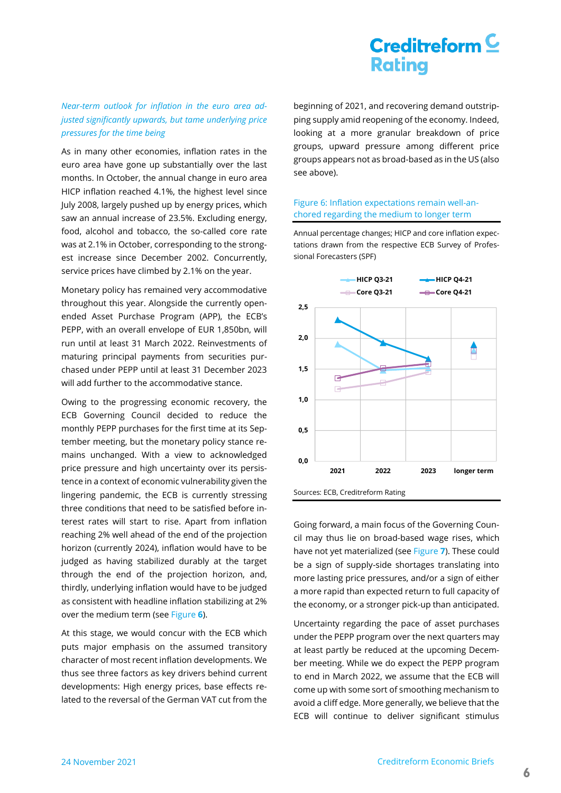### *Near-term outlook for inflation in the euro area adjusted significantly upwards, but tame underlying price pressures for the time being*

As in many other economies, inflation rates in the euro area have gone up substantially over the last months. In October, the annual change in euro area HICP inflation reached 4.1%, the highest level since July 2008, largely pushed up by energy prices, which saw an annual increase of 23.5%. Excluding energy, food, alcohol and tobacco, the so-called core rate was at 2.1% in October, corresponding to the strongest increase since December 2002. Concurrently, service prices have climbed by 2.1% on the year.

Monetary policy has remained very accommodative throughout this year. Alongside the currently openended Asset Purchase Program (APP), the ECB's PEPP, with an overall envelope of EUR 1,850bn, will run until at least 31 March 2022. Reinvestments of maturing principal payments from securities purchased under PEPP until at least 31 December 2023 will add further to the accommodative stance.

Owing to the progressing economic recovery, the ECB Governing Council decided to reduce the monthly PEPP purchases for the first time at its September meeting, but the monetary policy stance remains unchanged. With a view to acknowledged price pressure and high uncertainty over its persistence in a context of economic vulnerability given the lingering pandemic, the ECB is currently stressing three conditions that need to be satisfied before interest rates will start to rise. Apart from inflation reaching 2% well ahead of the end of the projection horizon (currently 2024), inflation would have to be judged as having stabilized durably at the target through the end of the projection horizon, and, thirdly, underlying inflation would have to be judged as consistent with headline inflation stabilizing at 2% over the medium term (see [Figure](#page-5-0) **6**).

At this stage, we would concur with the ECB which puts major emphasis on the assumed transitory character of most recent inflation developments. We thus see three factors as key drivers behind current developments: High energy prices, base effects related to the reversal of the German VAT cut from the beginning of 2021, and recovering demand outstripping supply amid reopening of the economy. Indeed, looking at a more granular breakdown of price groups, upward pressure among different price groups appears not as broad-based as in the US (also see above).

#### <span id="page-5-0"></span>Figure 6: Inflation expectations remain well-anchored regarding the medium to longer term

Annual percentage changes; HICP and core inflation expectations drawn from the respective ECB Survey of Professional Forecasters (SPF)



Going forward, a main focus of the Governing Council may thus lie on broad-based wage rises, which have not yet materialized (see [Figure](#page-6-0) **7**). These could be a sign of supply-side shortages translating into more lasting price pressures, and/or a sign of either a more rapid than expected return to full capacity of the economy, or a stronger pick-up than anticipated.

Uncertainty regarding the pace of asset purchases under the PEPP program over the next quarters may at least partly be reduced at the upcoming December meeting. While we do expect the PEPP program to end in March 2022, we assume that the ECB will come up with some sort of smoothing mechanism to avoid a cliff edge. More generally, we believe that the ECB will continue to deliver significant stimulus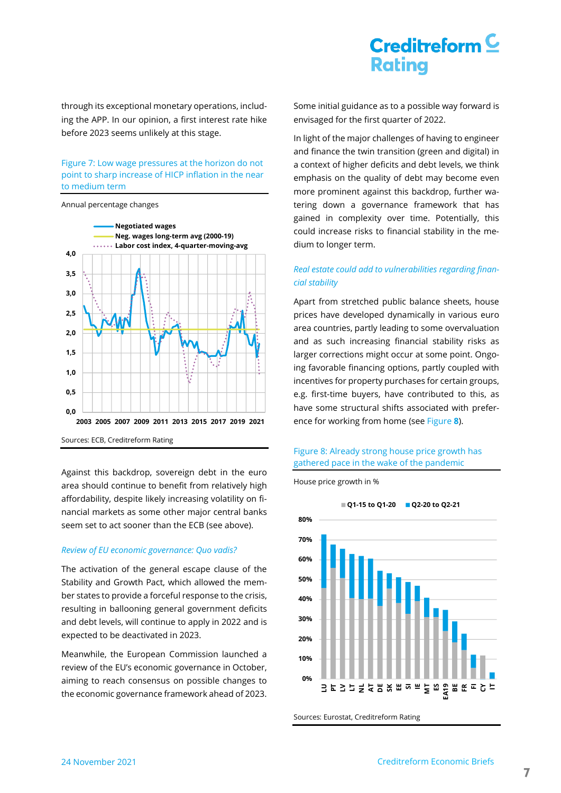through its exceptional monetary operations, including the APP. In our opinion, a first interest rate hike before 2023 seems unlikely at this stage.

#### <span id="page-6-0"></span>Figure 7: Low wage pressures at the horizon do not point to sharp increase of HICP inflation in the near to medium term

#### Annual percentage changes



Against this backdrop, sovereign debt in the euro area should continue to benefit from relatively high affordability, despite likely increasing volatility on financial markets as some other major central banks seem set to act sooner than the ECB (see above).

#### *Review of EU economic governance: Quo vadis?*

The activation of the general escape clause of the Stability and Growth Pact, which allowed the member states to provide a forceful response to the crisis, resulting in ballooning general government deficits and debt levels, will continue to apply in 2022 and is expected to be deactivated in 2023.

Meanwhile, the European Commission launched a review of the EU's economic governance in October, aiming to reach consensus on possible changes to the economic governance framework ahead of 2023.

Some initial guidance as to a possible way forward is envisaged for the first quarter of 2022.

In light of the major challenges of having to engineer and finance the twin transition (green and digital) in a context of higher deficits and debt levels, we think emphasis on the quality of debt may become even more prominent against this backdrop, further watering down a governance framework that has gained in complexity over time. Potentially, this could increase risks to financial stability in the medium to longer term.

#### *Real estate could add to vulnerabilities regarding financial stability*

Apart from stretched public balance sheets, house prices have developed dynamically in various euro area countries, partly leading to some overvaluation and as such increasing financial stability risks as larger corrections might occur at some point. Ongoing favorable financing options, partly coupled with incentives for property purchases for certain groups, e.g. first-time buyers, have contributed to this, as have some structural shifts associated with preference for working from home (se[e Figure](#page-6-1) **8**).

#### <span id="page-6-1"></span>Figure 8: Already strong house price growth has gathered pace in the wake of the pandemic



House price growth in %

Sources: Eurostat, Creditreform Rating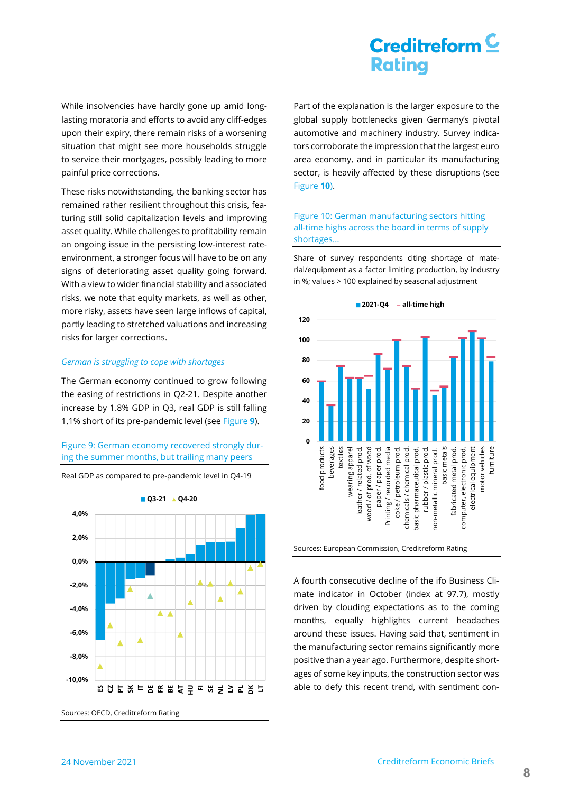While insolvencies have hardly gone up amid longlasting moratoria and efforts to avoid any cliff-edges upon their expiry, there remain risks of a worsening situation that might see more households struggle to service their mortgages, possibly leading to more painful price corrections.

These risks notwithstanding, the banking sector has remained rather resilient throughout this crisis, featuring still solid capitalization levels and improving asset quality. While challenges to profitability remain an ongoing issue in the persisting low-interest rateenvironment, a stronger focus will have to be on any signs of deteriorating asset quality going forward. With a view to wider financial stability and associated risks, we note that equity markets, as well as other, more risky, assets have seen large inflows of capital, partly leading to stretched valuations and increasing risks for larger corrections.

#### *German is struggling to cope with shortages*

The German economy continued to grow following the easing of restrictions in Q2-21. Despite another increase by 1.8% GDP in Q3, real GDP is still falling 1.1% short of its pre-pandemic level (see [Figure](#page-7-0) **9**).

#### <span id="page-7-0"></span>Figure 9: German economy recovered strongly during the summer months, but trailing many peers

Real GDP as compared to pre-pandemic level in Q4-19

**Q3-21 Q4-20 4,0% 2,0% 0,0% -2,0%** Δ Ä **-4,0%** Δ LA **-6,0%** Δ **-8,0% -10,0% ES CZ PT SK IT DE FR BE AT HU FI SE NL LV PL DK LT**

Sources: OECD, Creditreform Rating

Part of the explanation is the larger exposure to the global supply bottlenecks given Germany's pivotal automotive and machinery industry. Survey indicators corroborate the impression that the largest euro area economy, and in particular its manufacturing sector, is heavily affected by these disruptions (see [Figure](#page-7-1) **10**).

#### <span id="page-7-1"></span>Figure 10: German manufacturing sectors hitting all-time highs across the board in terms of supply shortages…

Share of survey respondents citing shortage of material/equipment as a factor limiting production, by industry in %; values > 100 explained by seasonal adjustment



Sources: European Commission, Creditreform Rating

A fourth consecutive decline of the ifo Business Climate indicator in October (index at 97.7), mostly driven by clouding expectations as to the coming months, equally highlights current headaches around these issues. Having said that, sentiment in the manufacturing sector remains significantly more positive than a year ago. Furthermore, despite shortages of some key inputs, the construction sector was able to defy this recent trend, with sentiment con-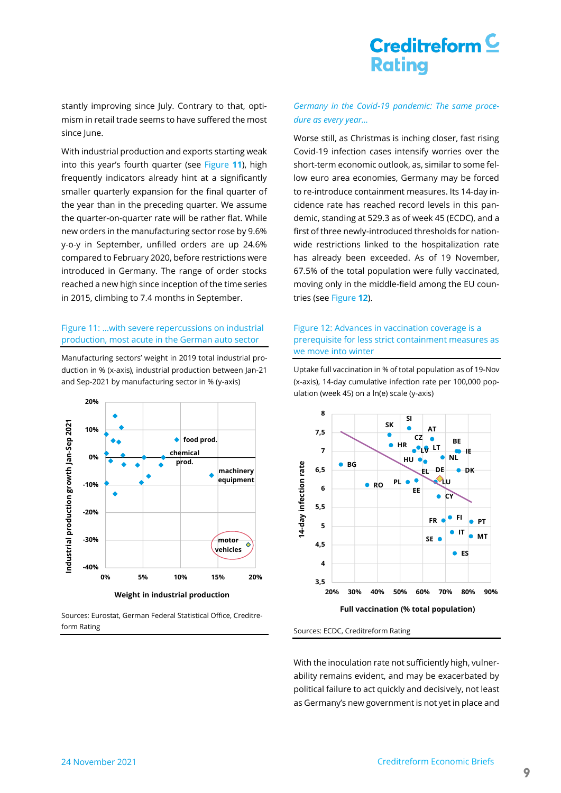stantly improving since July. Contrary to that, optimism in retail trade seems to have suffered the most since June.

With industrial production and exports starting weak into this year's fourth quarter (see [Figure](#page-8-0) **11**), high frequently indicators already hint at a significantly smaller quarterly expansion for the final quarter of the year than in the preceding quarter. We assume the quarter-on-quarter rate will be rather flat. While new orders in the manufacturing sector rose by 9.6% y-o-y in September, unfilled orders are up 24.6% compared to February 2020, before restrictions were introduced in Germany. The range of order stocks reached a new high since inception of the time series in 2015, climbing to 7.4 months in September.

#### <span id="page-8-0"></span>Figure 11: …with severe repercussions on industrial production, most acute in the German auto sector

Manufacturing sectors' weight in 2019 total industrial production in % (x-axis), industrial production between Jan-21 and Sep-2021 by manufacturing sector in % (y-axis)



Sources: Eurostat, German Federal Statistical Office, Creditreform Rating

### *Germany in the Covid-19 pandemic: The same procedure as every year…*

Worse still, as Christmas is inching closer, fast rising Covid-19 infection cases intensify worries over the short-term economic outlook, as, similar to some fellow euro area economies, Germany may be forced to re-introduce containment measures. Its 14-day incidence rate has reached record levels in this pandemic, standing at 529.3 as of week 45 (ECDC), and a first of three newly-introduced thresholds for nationwide restrictions linked to the hospitalization rate has already been exceeded. As of 19 November, 67.5% of the total population were fully vaccinated, moving only in the middle-field among the EU countries (see [Figure](#page-8-1) **12**).

#### <span id="page-8-1"></span>Figure 12: Advances in vaccination coverage is a prerequisite for less strict containment measures as we move into winter

Uptake full vaccination in % of total population as of 19-Nov (x-axis), 14-day cumulative infection rate per 100,000 population (week 45) on a ln(e) scale (y-axis)



Sources: ECDC, Creditreform Rating

With the inoculation rate not sufficiently high, vulnerability remains evident, and may be exacerbated by political failure to act quickly and decisively, not least as Germany's new government is not yet in place and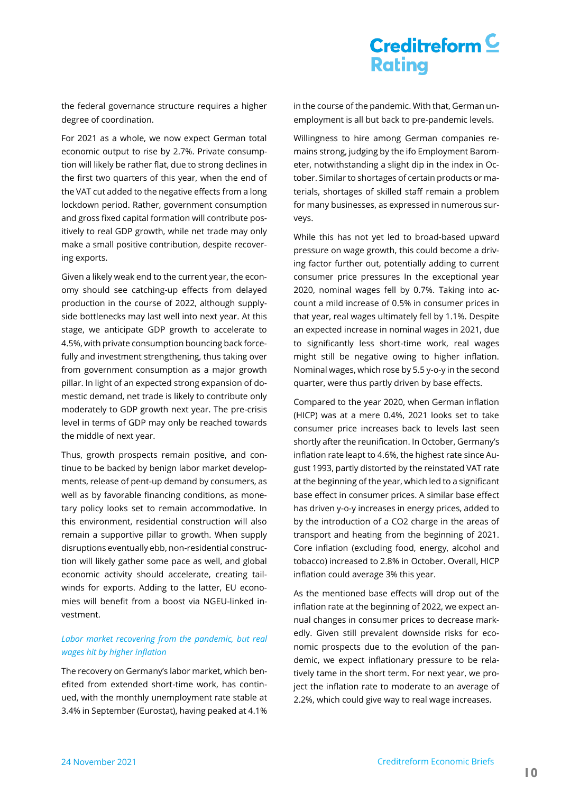the federal governance structure requires a higher degree of coordination.

For 2021 as a whole, we now expect German total economic output to rise by 2.7%. Private consumption will likely be rather flat, due to strong declines in the first two quarters of this year, when the end of the VAT cut added to the negative effects from a long lockdown period. Rather, government consumption and gross fixed capital formation will contribute positively to real GDP growth, while net trade may only make a small positive contribution, despite recovering exports.

Given a likely weak end to the current year, the economy should see catching-up effects from delayed production in the course of 2022, although supplyside bottlenecks may last well into next year. At this stage, we anticipate GDP growth to accelerate to 4.5%, with private consumption bouncing back forcefully and investment strengthening, thus taking over from government consumption as a major growth pillar. In light of an expected strong expansion of domestic demand, net trade is likely to contribute only moderately to GDP growth next year. The pre-crisis level in terms of GDP may only be reached towards the middle of next year.

Thus, growth prospects remain positive, and continue to be backed by benign labor market developments, release of pent-up demand by consumers, as well as by favorable financing conditions, as monetary policy looks set to remain accommodative. In this environment, residential construction will also remain a supportive pillar to growth. When supply disruptions eventually ebb, non-residential construction will likely gather some pace as well, and global economic activity should accelerate, creating tailwinds for exports. Adding to the latter, EU economies will benefit from a boost via NGEU-linked investment.

### *Labor market recovering from the pandemic, but real wages hit by higher inflation*

The recovery on Germany's labor market, which benefited from extended short-time work, has continued, with the monthly unemployment rate stable at 3.4% in September (Eurostat), having peaked at 4.1% in the course of the pandemic. With that, German unemployment is all but back to pre-pandemic levels.

Willingness to hire among German companies remains strong, judging by the ifo Employment Barometer, notwithstanding a slight dip in the index in October. Similar to shortages of certain products or materials, shortages of skilled staff remain a problem for many businesses, as expressed in numerous surveys.

While this has not yet led to broad-based upward pressure on wage growth, this could become a driving factor further out, potentially adding to current consumer price pressures In the exceptional year 2020, nominal wages fell by 0.7%. Taking into account a mild increase of 0.5% in consumer prices in that year, real wages ultimately fell by 1.1%. Despite an expected increase in nominal wages in 2021, due to significantly less short-time work, real wages might still be negative owing to higher inflation. Nominal wages, which rose by 5.5 y-o-y in the second quarter, were thus partly driven by base effects.

Compared to the year 2020, when German inflation (HICP) was at a mere 0.4%, 2021 looks set to take consumer price increases back to levels last seen shortly after the reunification. In October, Germany's inflation rate leapt to 4.6%, the highest rate since August 1993, partly distorted by the reinstated VAT rate at the beginning of the year, which led to a significant base effect in consumer prices. A similar base effect has driven y-o-y increases in energy prices, added to by the introduction of a CO2 charge in the areas of transport and heating from the beginning of 2021. Core inflation (excluding food, energy, alcohol and tobacco) increased to 2.8% in October. Overall, HICP inflation could average 3% this year.

As the mentioned base effects will drop out of the inflation rate at the beginning of 2022, we expect annual changes in consumer prices to decrease markedly. Given still prevalent downside risks for economic prospects due to the evolution of the pandemic, we expect inflationary pressure to be relatively tame in the short term. For next year, we project the inflation rate to moderate to an average of 2.2%, which could give way to real wage increases.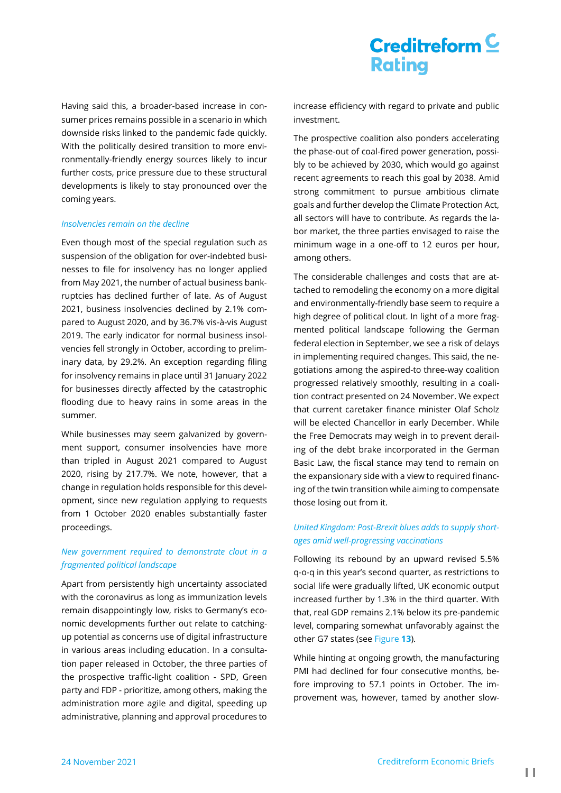Having said this, a broader-based increase in consumer prices remains possible in a scenario in which downside risks linked to the pandemic fade quickly. With the politically desired transition to more environmentally-friendly energy sources likely to incur further costs, price pressure due to these structural developments is likely to stay pronounced over the coming years.

#### *Insolvencies remain on the decline*

Even though most of the special regulation such as suspension of the obligation for over-indebted businesses to file for insolvency has no longer applied from May 2021, the number of actual business bankruptcies has declined further of late. As of August 2021, business insolvencies declined by 2.1% compared to August 2020, and by 36.7% vis-à-vis August 2019. The early indicator for normal business insolvencies fell strongly in October, according to preliminary data, by 29.2%. An exception regarding filing for insolvency remains in place until 31 January 2022 for businesses directly affected by the catastrophic flooding due to heavy rains in some areas in the summer.

While businesses may seem galvanized by government support, consumer insolvencies have more than tripled in August 2021 compared to August 2020, rising by 217.7%. We note, however, that a change in regulation holds responsible for this development, since new regulation applying to requests from 1 October 2020 enables substantially faster proceedings.

### *New government required to demonstrate clout in a fragmented political landscape*

Apart from persistently high uncertainty associated with the coronavirus as long as immunization levels remain disappointingly low, risks to Germany's economic developments further out relate to catchingup potential as concerns use of digital infrastructure in various areas including education. In a consultation paper released in October, the three parties of the prospective traffic-light coalition - SPD, Green party and FDP - prioritize, among others, making the administration more agile and digital, speeding up administrative, planning and approval procedures to

increase efficiency with regard to private and public investment.

The prospective coalition also ponders accelerating the phase-out of coal-fired power generation, possibly to be achieved by 2030, which would go against recent agreements to reach this goal by 2038. Amid strong commitment to pursue ambitious climate goals and further develop the Climate Protection Act, all sectors will have to contribute. As regards the labor market, the three parties envisaged to raise the minimum wage in a one-off to 12 euros per hour, among others.

The considerable challenges and costs that are attached to remodeling the economy on a more digital and environmentally-friendly base seem to require a high degree of political clout. In light of a more fragmented political landscape following the German federal election in September, we see a risk of delays in implementing required changes. This said, the negotiations among the aspired-to three-way coalition progressed relatively smoothly, resulting in a coalition contract presented on 24 November. We expect that current caretaker finance minister Olaf Scholz will be elected Chancellor in early December. While the Free Democrats may weigh in to prevent derailing of the debt brake incorporated in the German Basic Law, the fiscal stance may tend to remain on the expansionary side with a view to required financing of the twin transition while aiming to compensate those losing out from it.

### *United Kingdom: Post-Brexit blues adds to supply shortages amid well-progressing vaccinations*

Following its rebound by an upward revised 5.5% q-o-q in this year's second quarter, as restrictions to social life were gradually lifted, UK economic output increased further by 1.3% in the third quarter. With that, real GDP remains 2.1% below its pre-pandemic level, comparing somewhat unfavorably against the other G7 states (see [Figure](#page-11-0) **13**).

While hinting at ongoing growth, the manufacturing PMI had declined for four consecutive months, before improving to 57.1 points in October. The improvement was, however, tamed by another slow-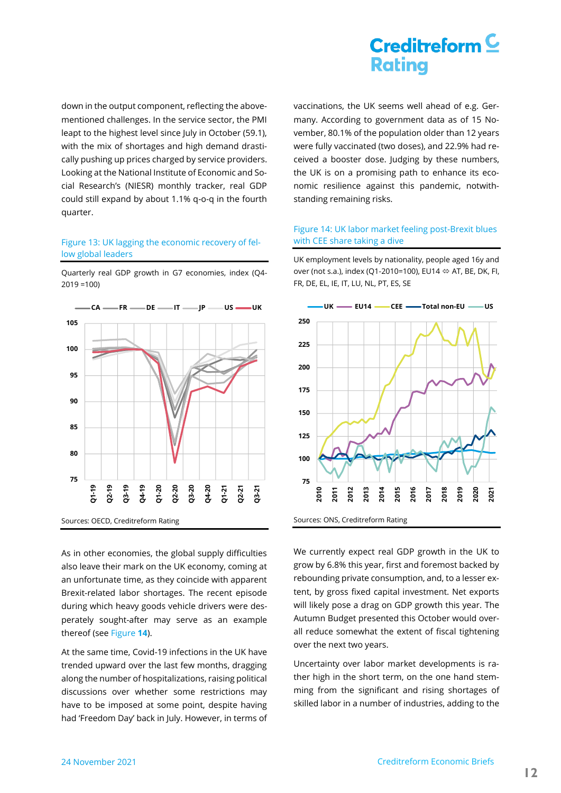# Creditreform<sup>C</sup> **Rating**

down in the output component, reflecting the abovementioned challenges. In the service sector, the PMI leapt to the highest level since July in October (59.1), with the mix of shortages and high demand drastically pushing up prices charged by service providers. Looking at the National Institute of Economic and Social Research's (NIESR) monthly tracker, real GDP could still expand by about 1.1% q-o-q in the fourth quarter.

### <span id="page-11-0"></span>Figure 13: UK lagging the economic recovery of fellow global leaders

Quarterly real GDP growth in G7 economies, index (Q4- 2019 =100)



As in other economies, the global supply difficulties also leave their mark on the UK economy, coming at an unfortunate time, as they coincide with apparent Brexit-related labor shortages. The recent episode during which heavy goods vehicle drivers were desperately sought-after may serve as an example thereof (see [Figure](#page-11-1) **14**).

At the same time, Covid-19 infections in the UK have trended upward over the last few months, dragging along the number of hospitalizations, raising political discussions over whether some restrictions may have to be imposed at some point, despite having had 'Freedom Day' back in July. However, in terms of vaccinations, the UK seems well ahead of e.g. Germany. According to government data as of 15 November, 80.1% of the population older than 12 years were fully vaccinated (two doses), and 22.9% had received a booster dose. Judging by these numbers, the UK is on a promising path to enhance its economic resilience against this pandemic, notwithstanding remaining risks.

#### <span id="page-11-1"></span>Figure 14: UK labor market feeling post-Brexit blues with CEE share taking a dive

UK employment levels by nationality, people aged 16y and over (not s.a.), index (Q1-2010=100), EU14  $\Leftrightarrow$  AT, BE, DK, FI, FR, DE, EL, IE, IT, LU, NL, PT, ES, SE



We currently expect real GDP growth in the UK to grow by 6.8% this year, first and foremost backed by rebounding private consumption, and, to a lesser extent, by gross fixed capital investment. Net exports will likely pose a drag on GDP growth this year. The Autumn Budget presented this October would overall reduce somewhat the extent of fiscal tightening over the next two years.

Uncertainty over labor market developments is rather high in the short term, on the one hand stemming from the significant and rising shortages of skilled labor in a number of industries, adding to the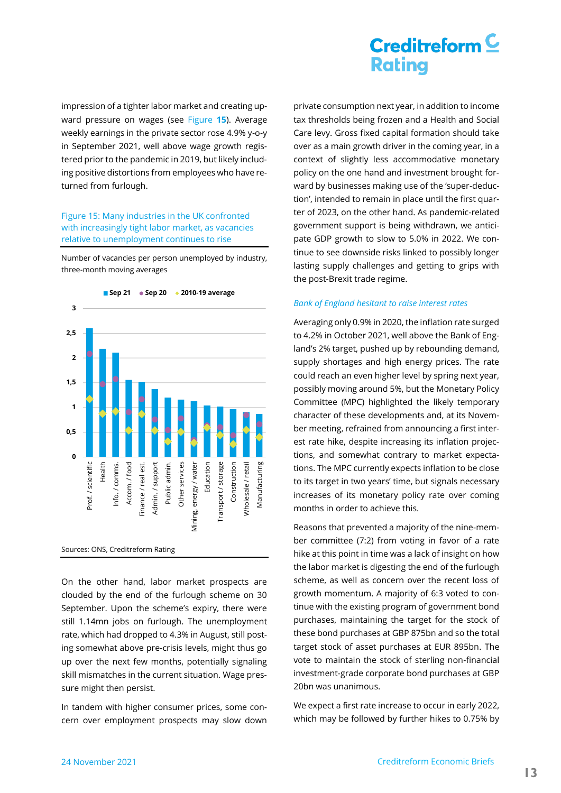impression of a tighter labor market and creating upward pressure on wages (see [Figure](#page-12-0) **15**). Average weekly earnings in the private sector rose 4.9% y-o-y in September 2021, well above wage growth registered prior to the pandemic in 2019, but likely including positive distortions from employees who have returned from furlough.

#### <span id="page-12-0"></span>Figure 15: Many industries in the UK confronted with increasingly tight labor market, as vacancies relative to unemployment continues to rise

Number of vacancies per person unemployed by industry, three-month moving averages



On the other hand, labor market prospects are clouded by the end of the furlough scheme on 30 September. Upon the scheme's expiry, there were still 1.14mn jobs on furlough. The unemployment rate, which had dropped to 4.3% in August, still posting somewhat above pre-crisis levels, might thus go up over the next few months, potentially signaling skill mismatches in the current situation. Wage pressure might then persist.

In tandem with higher consumer prices, some concern over employment prospects may slow down

private consumption next year, in addition to income tax thresholds being frozen and a Health and Social Care levy. Gross fixed capital formation should take over as a main growth driver in the coming year, in a context of slightly less accommodative monetary policy on the one hand and investment brought forward by businesses making use of the 'super-deduction', intended to remain in place until the first quarter of 2023, on the other hand. As pandemic-related government support is being withdrawn, we anticipate GDP growth to slow to 5.0% in 2022. We continue to see downside risks linked to possibly longer lasting supply challenges and getting to grips with the post-Brexit trade regime.

#### *Bank of England hesitant to raise interest rates*

Averaging only 0.9% in 2020, the inflation rate surged to 4.2% in October 2021, well above the Bank of England's 2% target, pushed up by rebounding demand, supply shortages and high energy prices. The rate could reach an even higher level by spring next year, possibly moving around 5%, but the Monetary Policy Committee (MPC) highlighted the likely temporary character of these developments and, at its November meeting, refrained from announcing a first interest rate hike, despite increasing its inflation projections, and somewhat contrary to market expectations. The MPC currently expects inflation to be close to its target in two years' time, but signals necessary increases of its monetary policy rate over coming months in order to achieve this.

Reasons that prevented a majority of the nine-member committee (7:2) from voting in favor of a rate hike at this point in time was a lack of insight on how the labor market is digesting the end of the furlough scheme, as well as concern over the recent loss of growth momentum. A majority of 6:3 voted to continue with the existing program of government bond purchases, maintaining the target for the stock of these bond purchases at GBP 875bn and so the total target stock of asset purchases at EUR 895bn. The vote to maintain the stock of sterling non-financial investment-grade corporate bond purchases at GBP 20bn was unanimous.

We expect a first rate increase to occur in early 2022, which may be followed by further hikes to 0.75% by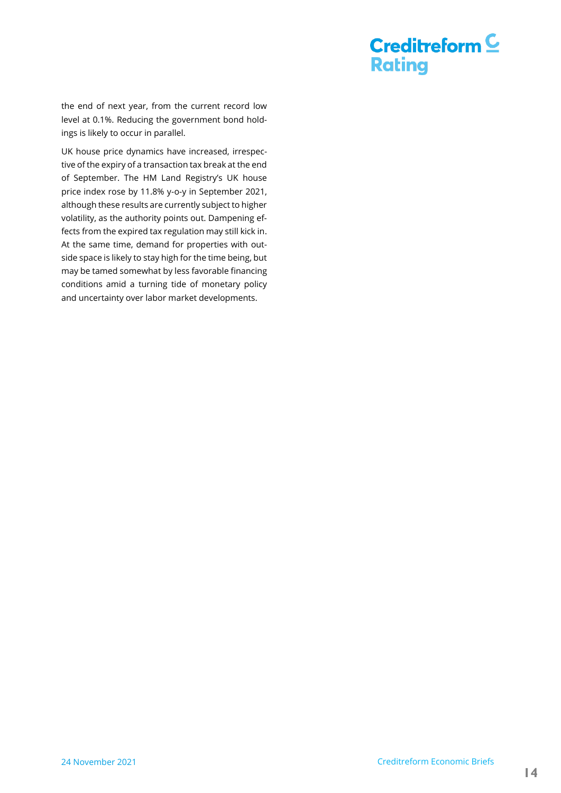### Creditreform  $C$ **Rating**

the end of next year, from the current record low level at 0.1%. Reducing the government bond holdings is likely to occur in parallel.

UK house price dynamics have increased, irrespective of the expiry of a transaction tax break at the end of September. The HM Land Registry's UK house price index rose by 11.8% y-o-y in September 2021, although these results are currently subject to higher volatility, as the authority points out. Dampening effects from the expired tax regulation may still kick in. At the same time, demand for properties with outside space is likely to stay high for the time being, but may be tamed somewhat by less favorable financing conditions amid a turning tide of monetary policy and uncertainty over labor market developments.